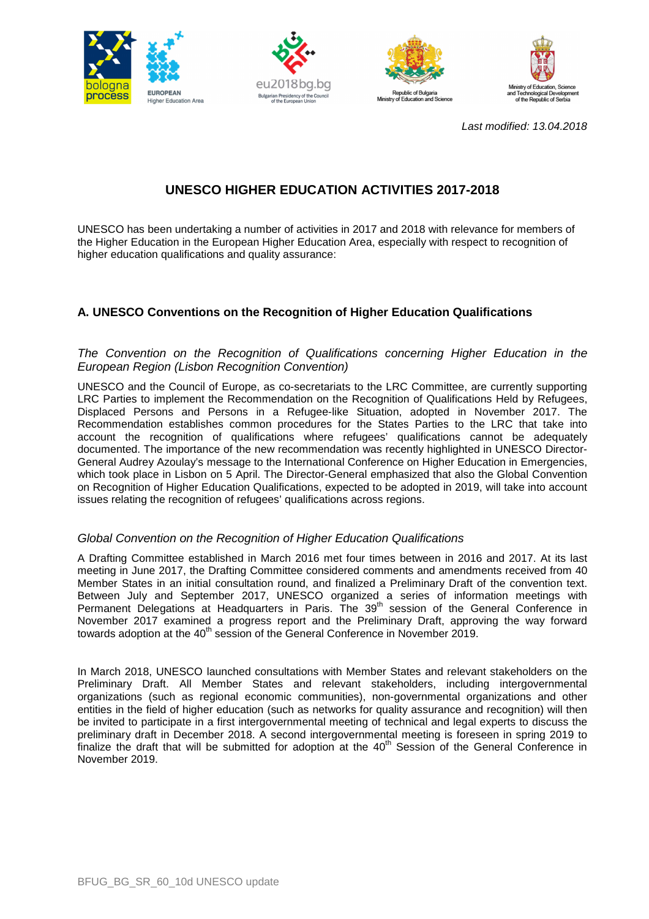







Last modified: 13.04.2018

# **UNESCO HIGHER EDUCATION ACTIVITIES 2017-2018**

UNESCO has been undertaking a number of activities in 2017 and 2018 with relevance for members of the Higher Education in the European Higher Education Area, especially with respect to recognition of higher education qualifications and quality assurance:

## **A. UNESCO Conventions on the Recognition of Higher Education Qualifications**

## The Convention on the Recognition of Qualifications concerning Higher Education in the European Region (Lisbon Recognition Convention)

UNESCO and the Council of Europe, as co-secretariats to the LRC Committee, are currently supporting LRC Parties to implement the Recommendation on the Recognition of Qualifications Held by Refugees, Displaced Persons and Persons in a Refugee-like Situation, adopted in November 2017. The Recommendation establishes common procedures for the States Parties to the LRC that take into account the recognition of qualifications where refugees' qualifications cannot be adequately documented. The importance of the new recommendation was recently highlighted in UNESCO Director-General Audrey Azoulay's message to the International Conference on Higher Education in Emergencies, which took place in Lisbon on 5 April. The Director-General emphasized that also the Global Convention on Recognition of Higher Education Qualifications, expected to be adopted in 2019, will take into account issues relating the recognition of refugees' qualifications across regions.

## Global Convention on the Recognition of Higher Education Qualifications

A Drafting Committee established in March 2016 met four times between in 2016 and 2017. At its last meeting in June 2017, the Drafting Committee considered comments and amendments received from 40 Member States in an initial consultation round, and finalized a Preliminary Draft of the convention text. Between July and September 2017, UNESCO organized a series of information meetings with Permanent Delegations at Headquarters in Paris. The 39<sup>th</sup> session of the General Conference in November 2017 examined a progress report and the Preliminary Draft, approving the way forward towards adoption at the  $40<sup>th</sup>$  session of the General Conference in November 2019.

In March 2018, UNESCO launched consultations with Member States and relevant stakeholders on the Preliminary Draft. All Member States and relevant stakeholders, including intergovernmental organizations (such as regional economic communities), non-governmental organizations and other entities in the field of higher education (such as networks for quality assurance and recognition) will then be invited to participate in a first intergovernmental meeting of technical and legal experts to discuss the preliminary draft in December 2018. A second intergovernmental meeting is foreseen in spring 2019 to  $\frac{1}{2}$  finalize the draft that will be submitted for adoption at the 40<sup>th</sup> Session of the General Conference in November 2019.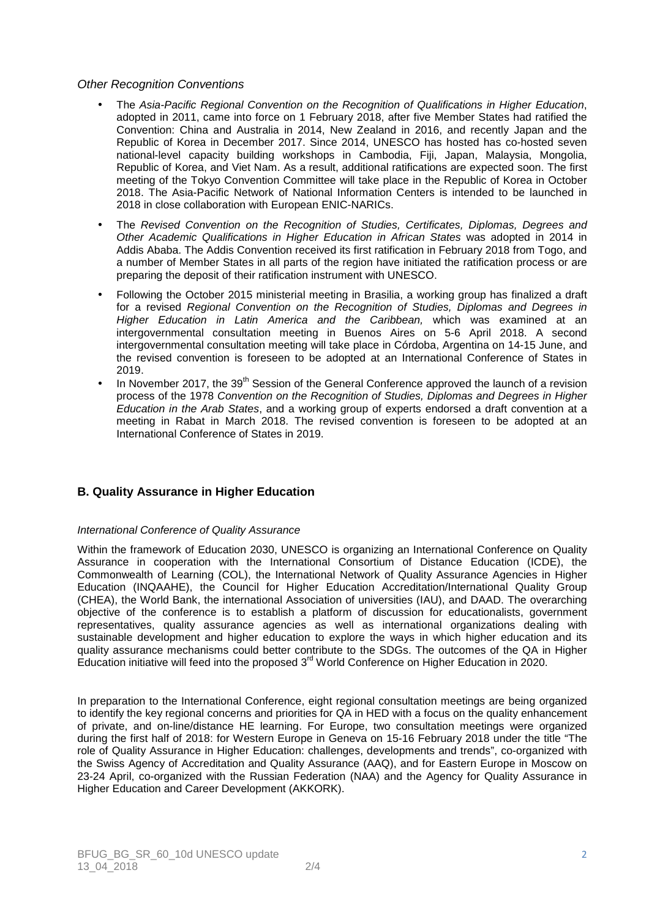#### Other Recognition Conventions

- The Asia-Pacific Regional Convention on the Recognition of Qualifications in Higher Education, adopted in 2011, came into force on 1 February 2018, after five Member States had ratified the Convention: China and Australia in 2014, New Zealand in 2016, and recently Japan and the Republic of Korea in December 2017. Since 2014, UNESCO has hosted has co-hosted seven national-level capacity building workshops in Cambodia, Fiji, Japan, Malaysia, Mongolia, Republic of Korea, and Viet Nam. As a result, additional ratifications are expected soon. The first meeting of the Tokyo Convention Committee will take place in the Republic of Korea in October 2018. The Asia-Pacific Network of National Information Centers is intended to be launched in 2018 in close collaboration with European ENIC-NARICs.
- The Revised Convention on the Recognition of Studies, Certificates, Diplomas, Degrees and Other Academic Qualifications in Higher Education in African States was adopted in 2014 in Addis Ababa. The Addis Convention received its first ratification in February 2018 from Togo, and a number of Member States in all parts of the region have initiated the ratification process or are preparing the deposit of their ratification instrument with UNESCO.
- Following the October 2015 ministerial meeting in Brasilia, a working group has finalized a draft for a revised Regional Convention on the Recognition of Studies, Diplomas and Degrees in Higher Education in Latin America and the Caribbean, which was examined at an intergovernmental consultation meeting in Buenos Aires on 5-6 April 2018. A second intergovernmental consultation meeting will take place in Córdoba, Argentina on 14-15 June, and the revised convention is foreseen to be adopted at an International Conference of States in 2019.
- In November 2017, the 39<sup>th</sup> Session of the General Conference approved the launch of a revision process of the 1978 Convention on the Recognition of Studies, Diplomas and Degrees in Higher Education in the Arab States, and a working group of experts endorsed a draft convention at a meeting in Rabat in March 2018. The revised convention is foreseen to be adopted at an International Conference of States in 2019.

## **B. Quality Assurance in Higher Education**

#### International Conference of Quality Assurance

Within the framework of Education 2030, UNESCO is organizing an International Conference on Quality Assurance in cooperation with the International Consortium of Distance Education (ICDE), the Commonwealth of Learning (COL), the International Network of Quality Assurance Agencies in Higher Education (INQAAHE), the Council for Higher Education Accreditation/International Quality Group (CHEA), the World Bank, the international Association of universities (IAU), and DAAD. The overarching objective of the conference is to establish a platform of discussion for educationalists, government representatives, quality assurance agencies as well as international organizations dealing with sustainable development and higher education to explore the ways in which higher education and its quality assurance mechanisms could better contribute to the SDGs. The outcomes of the QA in Higher Education initiative will feed into the proposed  $3<sup>rd</sup>$  World Conference on Higher Education in 2020.

In preparation to the International Conference, eight regional consultation meetings are being organized to identify the key regional concerns and priorities for QA in HED with a focus on the quality enhancement of private, and on-line/distance HE learning. For Europe, two consultation meetings were organized during the first half of 2018: for Western Europe in Geneva on 15-16 February 2018 under the title "The role of Quality Assurance in Higher Education: challenges, developments and trends", co-organized with the Swiss Agency of Accreditation and Quality Assurance (AAQ), and for Eastern Europe in Moscow on 23-24 April, co-organized with the Russian Federation (NAA) and the Agency for Quality Assurance in Higher Education and Career Development (AKKORK).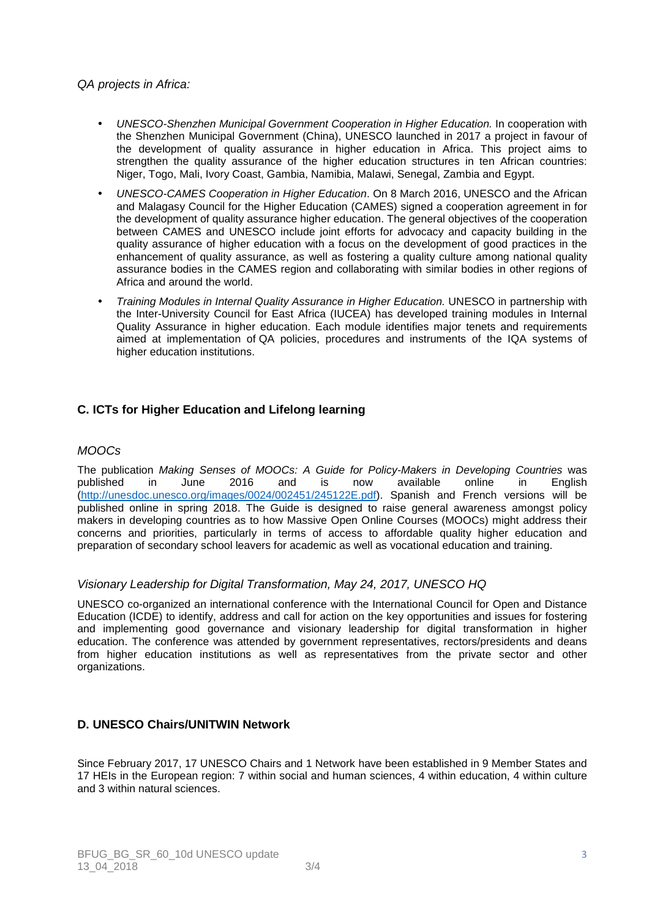## QA projects in Africa:

- UNESCO-Shenzhen Municipal Government Cooperation in Higher Education. In cooperation with the Shenzhen Municipal Government (China), UNESCO launched in 2017 a project in favour of the development of quality assurance in higher education in Africa. This project aims to strengthen the quality assurance of the higher education structures in ten African countries: Niger, Togo, Mali, Ivory Coast, Gambia, Namibia, Malawi, Senegal, Zambia and Egypt.
- UNESCO-CAMES Cooperation in Higher Education. On 8 March 2016, UNESCO and the African and Malagasy Council for the Higher Education (CAMES) signed a cooperation agreement in for the development of quality assurance higher education. The general objectives of the cooperation between CAMES and UNESCO include joint efforts for advocacy and capacity building in the quality assurance of higher education with a focus on the development of good practices in the enhancement of quality assurance, as well as fostering a quality culture among national quality assurance bodies in the CAMES region and collaborating with similar bodies in other regions of Africa and around the world.
- Training Modules in Internal Quality Assurance in Higher Education. UNESCO in partnership with the Inter-University Council for East Africa (IUCEA) has developed training modules in Internal Quality Assurance in higher education. Each module identifies major tenets and requirements aimed at implementation of QA policies, procedures and instruments of the IQA systems of higher education institutions.

## **C. ICTs for Higher Education and Lifelong learning**

#### MOOCs

The publication Making Senses of MOOCs: A Guide for Policy-Makers in Developing Countries was published in June 2016 and is now available online in English (http://unesdoc.unesco.org/images/0024/002451/245122E.pdf). Spanish and French versions will be published online in spring 2018. The Guide is designed to raise general awareness amongst policy makers in developing countries as to how Massive Open Online Courses (MOOCs) might address their concerns and priorities, particularly in terms of access to affordable quality higher education and preparation of secondary school leavers for academic as well as vocational education and training.

## Visionary Leadership for Digital Transformation, May 24, 2017, UNESCO HQ

UNESCO co-organized an international conference with the International Council for Open and Distance Education (ICDE) to identify, address and call for action on the key opportunities and issues for fostering and implementing good governance and visionary leadership for digital transformation in higher education. The conference was attended by government representatives, rectors/presidents and deans from higher education institutions as well as representatives from the private sector and other organizations.

### **D. UNESCO Chairs/UNITWIN Network**

Since February 2017, 17 UNESCO Chairs and 1 Network have been established in 9 Member States and 17 HEIs in the European region: 7 within social and human sciences, 4 within education, 4 within culture and 3 within natural sciences.